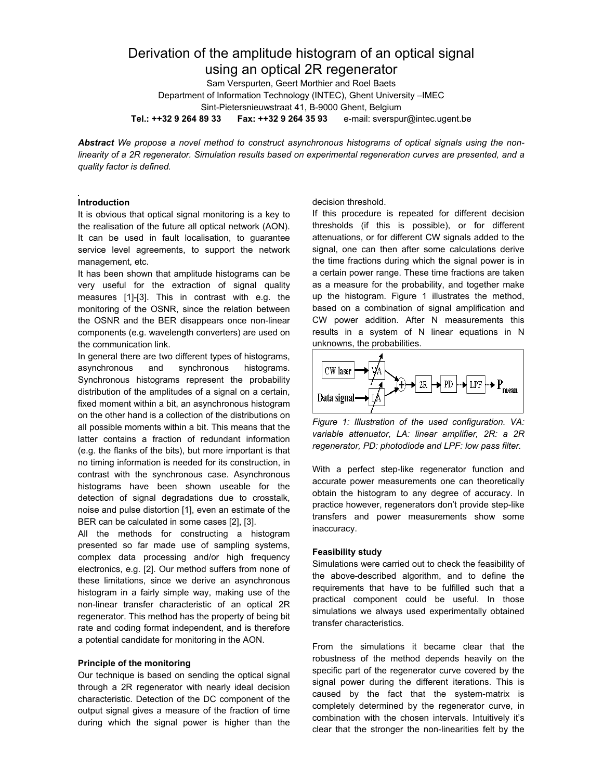# Derivation of the amplitude histogram of an optical signal using an optical 2R regenerator

Sam Verspurten, Geert Morthier and Roel Baets Department of Information Technology (INTEC), Ghent University –IMEC Sint-Pietersnieuwstraat 41, B-9000 Ghent, Belgium **Tel.: ++32 9 264 89 33 Fax: ++32 9 264 35 93** e-mail: sverspur@intec.ugent.be

*Abstract We propose a novel method to construct asynchronous histograms of optical signals using the nonlinearity of a 2R regenerator. Simulation results based on experimental regeneration curves are presented, and a quality factor is defined.*

# **Introduction**

It is obvious that optical signal monitoring is a key to the realisation of the future all optical network (AON). It can be used in fault localisation, to guarantee service level agreements, to support the network management, etc.

It has been shown that amplitude histograms can be very useful for the extraction of signal quality measures [1]-[3]. This in contrast with e.g. the monitoring of the OSNR, since the relation between the OSNR and the BER disappears once non-linear components (e.g. wavelength converters) are used on the communication link.

In general there are two different types of histograms, asynchronous and synchronous histograms. Synchronous histograms represent the probability distribution of the amplitudes of a signal on a certain, fixed moment within a bit, an asynchronous histogram on the other hand is a collection of the distributions on all possible moments within a bit. This means that the latter contains a fraction of redundant information (e.g. the flanks of the bits), but more important is that no timing information is needed for its construction, in contrast with the synchronous case. Asynchronous histograms have been shown useable for the detection of signal degradations due to crosstalk, noise and pulse distortion [1], even an estimate of the BER can be calculated in some cases [2], [3].

All the methods for constructing a histogram presented so far made use of sampling systems, complex data processing and/or high frequency electronics, e.g. [2]. Our method suffers from none of these limitations, since we derive an asynchronous histogram in a fairly simple way, making use of the non-linear transfer characteristic of an optical 2R regenerator. This method has the property of being bit rate and coding format independent, and is therefore a potential candidate for monitoring in the AON.

## **Principle of the monitoring**

Our technique is based on sending the optical signal through a 2R regenerator with nearly ideal decision characteristic. Detection of the DC component of the output signal gives a measure of the fraction of time during which the signal power is higher than the

#### decision threshold.

If this procedure is repeated for different decision thresholds (if this is possible), or for different attenuations, or for different CW signals added to the signal, one can then after some calculations derive the time fractions during which the signal power is in a certain power range. These time fractions are taken as a measure for the probability, and together make up the histogram. Figure 1 illustrates the method, based on a combination of signal amplification and CW power addition. After N measurements this results in a system of N linear equations in N unknowns, the probabilities.



*Figure 1: Illustration of the used configuration. VA: variable attenuator, LA: linear amplifier, 2R: a 2R regenerator, PD: photodiode and LPF: low pass filter.*

With a perfect step-like regenerator function and accurate power measurements one can theoretically obtain the histogram to any degree of accuracy. In practice however, regenerators don't provide step-like transfers and power measurements show some inaccuracy.

## **Feasibility study**

Simulations were carried out to check the feasibility of the above-described algorithm, and to define the requirements that have to be fulfilled such that a practical component could be useful. In those simulations we always used experimentally obtained transfer characteristics.

From the simulations it became clear that the robustness of the method depends heavily on the specific part of the regenerator curve covered by the signal power during the different iterations. This is caused by the fact that the system-matrix is completely determined by the regenerator curve, in combination with the chosen intervals. Intuitively it's clear that the stronger the non-linearities felt by the